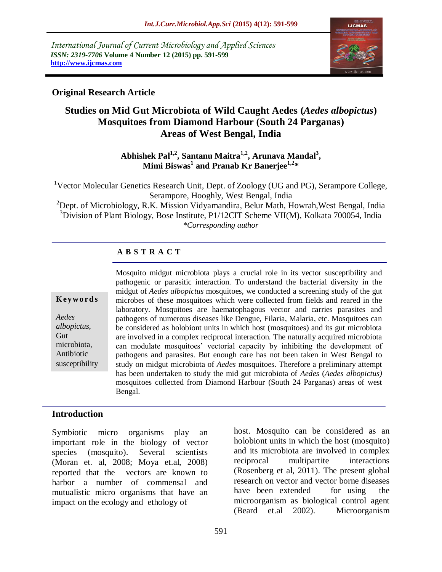*International Journal of Current Microbiology and Applied Sciences ISSN: 2319-7706* **Volume 4 Number 12 (2015) pp. 591-599 http://www.ijcmas.com** 



## **Original Research Article**

# **Studies on Mid Gut Microbiota of Wild Caught Aedes (***Aedes albopictus***) Mosquitoes from Diamond Harbour (South 24 Parganas) Areas of West Bengal, India**

**Abhishek Pal1,2, Santanu Maitra1,2, Arunava Mandal<sup>3</sup> , Mimi Biswas<sup>1</sup> and Pranab Kr Banerjee1,2\***

<sup>1</sup>Vector Molecular Genetics Research Unit, Dept. of Zoology (UG and PG), Serampore College, Serampore, Hooghly, West Bengal, India

<sup>2</sup>Dept. of Microbiology, R.K. Mission Vidyamandira, Belur Math, Howrah, West Bengal, India  $3$ Division of Plant Biology, Bose Institute, P1/12CIT Scheme VII(M), Kolkata 700054, India *\*Corresponding author*

#### **A B S T R A C T**

| Keywords |  |
|----------|--|
|----------|--|

*Aedes albopictus*, Gut microbiota, Antibiotic susceptibility Mosquito midgut microbiota plays a crucial role in its vector susceptibility and pathogenic or parasitic interaction. To understand the bacterial diversity in the midgut of *Aedes albopictus* mosquitoes, we conducted a screening study of the gut microbes of these mosquitoes which were collected from fields and reared in the laboratory. Mosquitoes are haematophagous vector and carries parasites and pathogens of numerous diseases like Dengue, Filaria, Malaria, etc. Mosquitoes can be considered as holobiont units in which host (mosquitoes) and its gut microbiota are involved in a complex reciprocal interaction. The naturally acquired microbiota can modulate mosquitoes' vectorial capacity by inhibiting the development of pathogens and parasites. But enough care has not been taken in West Bengal to study on midgut microbiota of *Aedes* mosquitoes. Therefore a preliminary attempt has been undertaken to study the mid gut microbiota of *Aedes* (*Aedes albopictus)*  mosquitoes collected from Diamond Harbour (South 24 Parganas) areas of west Bengal.

#### **Introduction**

Symbiotic micro organisms play an important role in the biology of vector species (mosquito). Several scientists (Moran et. al, 2008; Moya et.al, 2008) reported that the vectors are known to harbor a number of commensal and mutualistic micro organisms that have an impact on the ecology and ethology of

host. Mosquito can be considered as an holobiont units in which the host (mosquito) and its microbiota are involved in complex reciprocal multipartite interactions (Rosenberg et al, 2011). The present global research on vector and vector borne diseases have been extended for using the microorganism as biological control agent (Beard et.al 2002). Microorganism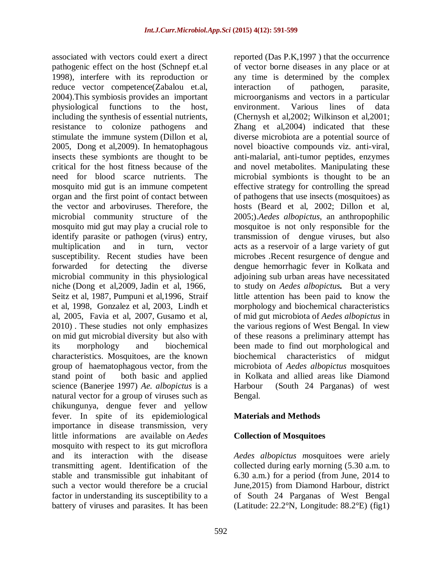associated with vectors could exert a direct pathogenic effect on the host (Schnepf et.al 1998), interfere with its reproduction or reduce vector competence(Zabalou et.al, 2004).This symbiosis provides an important physiological functions to the host, including the synthesis of essential nutrients, resistance to colonize pathogens and stimulate the immune system (Dillon et al, 2005, Dong et al,2009). In hematophagous insects these symbionts are thought to be critical for the host fitness because of the need for blood scarce nutrients. The mosquito mid gut is an immune competent organ and the first point of contact between the vector and arboviruses. Therefore, the microbial community structure of the mosquito mid gut may play a crucial role to identify parasite or pathogen (virus) entry, multiplication and in turn, vector susceptibility. Recent studies have been forwarded for detecting the diverse microbial community in this physiological niche (Dong et al,2009, Jadin et al, 1966, Seitz et al, 1987, Pumpuni et al,1996, Straif et al, 1998, Gonzalez et al, 2003, Lindh et al, 2005, Favia et al, 2007, Gusamo et al, 2010) . These studies not only emphasizes on mid gut microbial diversity but also with its morphology and biochemical characteristics. Mosquitoes, are the known group of haematophagous vector, from the stand point of both basic and applied science (Banerjee 1997) *Ae. albopictus* is a natural vector for a group of viruses such as chikungunya, dengue fever and yellow fever. In spite of its epidemiological importance in disease transmission, very little informations are available on *Aedes*  mosquito with respect to its gut microflora and its interaction with the disease transmitting agent. Identification of the stable and transmissible gut inhabitant of such a vector would therefore be a crucial factor in understanding its susceptibility to a battery of viruses and parasites. It has been

reported (Das P.K,1997 ) that the occurrence of vector borne diseases in any place or at any time is determined by the complex interaction of pathogen, parasite, microorganisms and vectors in a particular environment. Various lines of data (Chernysh et al,2002; Wilkinson et al,2001; Zhang et al,2004) indicated that these diverse microbiota are a potential source of novel bioactive compounds viz. anti-viral, anti-malarial, anti-tumor peptides, enzymes and novel metabolites. Manipulating these microbial symbionts is thought to be an effective strategy for controlling the spread of pathogens that use insects (mosquitoes) as hosts (Beard et al, 2002; Dillon et al, 2005;).*Aedes albopictus*, an anthropophilic mosquitoe is not only responsible for the transmission of dengue viruses, but also acts as a reservoir of a large variety of gut microbes .Recent resurgence of dengue and dengue hemorrhagic fever in Kolkata and adjoining sub urban areas have necessitated to study on *Aedes albopictus.* But a very little attention has been paid to know the morphology and biochemical characteristics of mid gut microbiota of *Aedes albopictus* in the various regions of West Bengal. In view of these reasons a preliminary attempt has been made to find out morphological and biochemical characteristics of midgut microbiota of *Aedes albopictus* mosquitoes in Kolkata and allied areas like Diamond Harbour (South 24 Parganas) of west Bengal.

### **Materials and Methods**

### **Collection of Mosquitoes**

*Aedes albopictus m*osquitoes were ariely collected during early morning (5.30 a.m. to 6.30 a.m.) for a period (from June, 2014 to June,2015) from Diamond Harbour, district of South 24 Parganas of West Bengal (Latitude: 22.2°N, Longitude: 88.2°E) (fig1)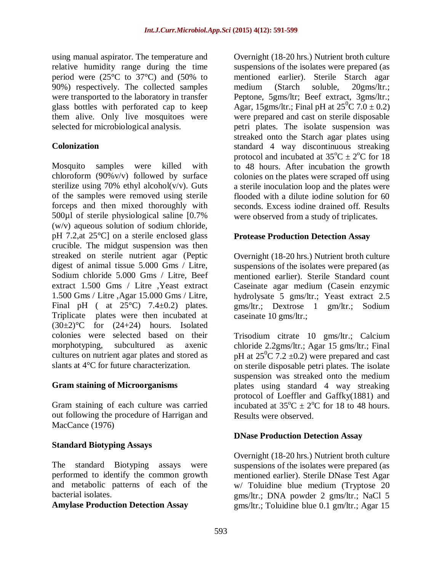using manual aspirator. The temperature and relative humidity range during the time period were (25°C to 37°C) and (50% to 90%) respectively. The collected samples were transported to the laboratory in transfer glass bottles with perforated cap to keep them alive. Only live mosquitoes were selected for microbiological analysis.

### **Colonization**

Mosquito samples were killed with chloroform (90%v/v) followed by surface sterilize using 70% ethyl alcohol( $v/v$ ). Guts of the samples were removed using sterile forceps and then mixed thoroughly with 500µl of sterile physiological saline [0.7% (w/v) aqueous solution of sodium chloride, pH 7.2,at 25°C] on a sterile enclosed glass crucible. The midgut suspension was then streaked on sterile nutrient agar (Peptic digest of animal tissue 5.000 Gms / Litre, Sodium chloride 5.000 Gms / Litre, Beef extract 1.500 Gms / Litre ,Yeast extract 1.500 Gms / Litre ,Agar 15.000 Gms / Litre, Final pH ( at  $25^{\circ}$ C) 7.4 $\pm$ 0.2) plates. Triplicate plates were then incubated at  $(30\pm2)$ °C for  $(24+24)$  hours. Isolated colonies were selected based on their morphotyping, subcultured as axenic cultures on nutrient agar plates and stored as slants at 4°C for future characterization.

### **Gram staining of Microorganisms**

Gram staining of each culture was carried out following the procedure of Harrigan and MacCance (1976)

# **Standard Biotyping Assays**

The standard Biotyping assays were performed to identify the common growth and metabolic patterns of each of the bacterial isolates.

### **Amylase Production Detection Assay**

Overnight (18-20 hrs.) Nutrient broth culture suspensions of the isolates were prepared (as mentioned earlier). Sterile Starch agar medium (Starch soluble, 20gms/ltr.; Peptone, 5gms/ltr; Beef extract, 3gms/ltr.; Agar, 15gms/ltr.; Final pH at  $25^{\circ}$ C 7.0  $\pm$  0.2) were prepared and cast on sterile disposable petri plates. The isolate suspension was streaked onto the Starch agar plates using standard 4 way discontinuous streaking protocol and incubated at  $35^{\circ}C \pm 2^{\circ}C$  for 18 to 48 hours. After incubation the growth colonies on the plates were scraped off using a sterile inoculation loop and the plates were flooded with a dilute iodine solution for 60 seconds. Excess iodine drained off. Results were observed from a study of triplicates.

### **Protease Production Detection Assay**

Overnight (18-20 hrs.) Nutrient broth culture suspensions of the isolates were prepared (as mentioned earlier). Sterile Standard count Caseinate agar medium (Casein enzymic hydrolysate 5 gms/ltr.; Yeast extract 2.5 gms/ltr.; Dextrose 1 gm/ltr.; Sodium caseinate 10 gms/ltr.;

Trisodium citrate 10 gms/ltr.; Calcium chloride 2.2gms/ltr.; Agar 15 gms/ltr.; Final pH at  $25^{\circ}$ C 7.2  $\pm$ 0.2) were prepared and cast on sterile disposable petri plates. The isolate suspension was streaked onto the medium plates using standard 4 way streaking protocol of Loeffler and Gaffky(1881) and incubated at  $35^{\circ}$ C  $\pm$  2<sup>o</sup>C for 18 to 48 hours. Results were observed.

### **DNase Production Detection Assay**

Overnight (18-20 hrs.) Nutrient broth culture suspensions of the isolates were prepared (as mentioned earlier). Sterile DNase Test Agar w/ Toluidine blue medium (Tryptose 20 gms/ltr.; DNA powder 2 gms/ltr.; NaCl 5 gms/ltr.; Toluidine blue 0.1 gm/ltr.; Agar 15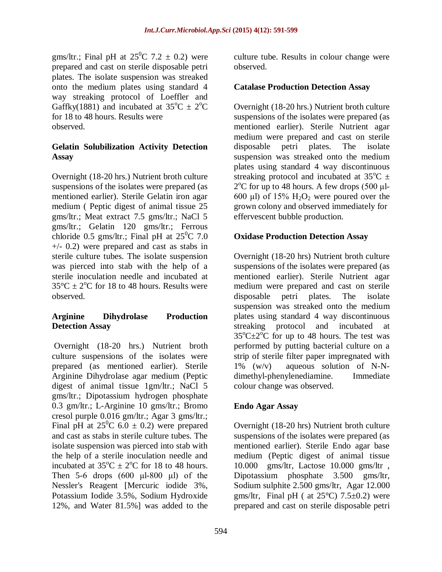gms/ltr.; Final pH at  $25^{\circ}$ C 7.2  $\pm$  0.2) were prepared and cast on sterile disposable petri plates. The isolate suspension was streaked onto the medium plates using standard 4 way streaking protocol of Loeffler and Gaffky(1881) and incubated at  $35^{\circ}C \pm 2^{\circ}C$ for 18 to 48 hours. Results were observed.

### **Gelatin Solubilization Activity Detection Assay**

Overnight (18-20 hrs.) Nutrient broth culture suspensions of the isolates were prepared (as mentioned earlier). Sterile Gelatin iron agar medium ( Peptic digest of animal tissue 25 gms/ltr.; Meat extract 7.5 gms/ltr.; NaCl 5 gms/ltr.; Gelatin 120 gms/ltr.; Ferrous chloride 0.5 gms/ltr.; Final pH at  $25^{\circ}$ C 7.0 +/- 0.2) were prepared and cast as stabs in sterile culture tubes. The isolate suspension was pierced into stab with the help of a sterile inoculation needle and incubated at  $35^{\circ}$ C  $\pm$  2<sup>o</sup>C for 18 to 48 hours. Results were observed.

### **Arginine Dihydrolase Production Detection Assay**

Overnight (18-20 hrs.) Nutrient broth culture suspensions of the isolates were prepared (as mentioned earlier). Sterile Arginine Dihydrolase agar medium (Peptic digest of animal tissue 1gm/ltr.; NaCl 5 gms/ltr.; Dipotassium hydrogen phosphate 0.3 gm/ltr.; L-Arginine 10 gms/ltr.; Bromo cresol purple 0.016 gm/ltr.; Agar 3 gms/ltr.; Final pH at  $25^{\circ}$ C 6.0  $\pm$  0.2) were prepared and cast as stabs in sterile culture tubes. The isolate suspension was pierced into stab with the help of a sterile inoculation needle and incubated at  $35^{\circ}\text{C} \pm 2^{\circ}\text{C}$  for 18 to 48 hours. Then 5-6 drops  $(600 \text{ µl-}800 \text{ µl})$  of the Nessler's Reagent [Mercuric iodide 3%, Potassium Iodide 3.5%, Sodium Hydroxide 12%, and Water 81.5%] was added to the

culture tube. Results in colour change were observed.

### **Catalase Production Detection Assay**

Overnight (18-20 hrs.) Nutrient broth culture suspensions of the isolates were prepared (as mentioned earlier). Sterile Nutrient agar medium were prepared and cast on sterile disposable petri plates. The isolate suspension was streaked onto the medium plates using standard 4 way discontinuous streaking protocol and incubated at  $35^{\circ}C \pm$  $2^{\circ}$ C for up to 48 hours. A few drops (500 µl-600 μl) of  $15\%$  H<sub>2</sub>O<sub>2</sub> were poured over the grown colony and observed immediately for effervescent bubble production.

### **Oxidase Production Detection Assay**

Overnight (18-20 hrs) Nutrient broth culture suspensions of the isolates were prepared (as mentioned earlier). Sterile Nutrient agar medium were prepared and cast on sterile disposable petri plates. The isolate suspension was streaked onto the medium plates using standard 4 way discontinuous streaking protocol and incubated at  $35^{\circ}$ C $\pm$ 2<sup>o</sup>C for up to 48 hours. The test was performed by putting bacterial culture on a strip of sterile filter paper impregnated with 1% (w/v) aqueous solution of N-Ndimethyl-phenylenediamine. Immediate colour change was observed.

### **Endo Agar Assay**

Overnight (18-20 hrs) Nutrient broth culture suspensions of the isolates were prepared (as mentioned earlier). Sterile Endo agar base medium (Peptic digest of animal tissue 10.000 gms/ltr, Lactose 10.000 gms/ltr , Dipotassium phosphate 3.500 gms/ltr, Sodium sulphite 2.500 gms/ltr, Agar 12.000 gms/ltr, Final pH ( at  $25^{\circ}$ C) 7.5 $\pm$ 0.2) were prepared and cast on sterile disposable petri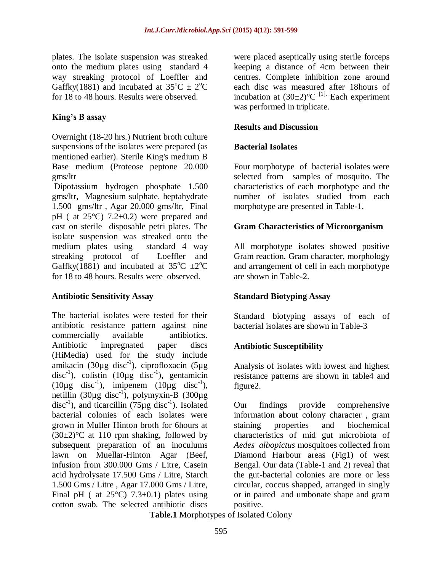plates. The isolate suspension was streaked onto the medium plates using standard 4 way streaking protocol of Loeffler and Gaffky(1881) and incubated at  $35^{\circ}C \pm 2^{\circ}C$ for 18 to 48 hours. Results were observed.

### **King's B assay**

Overnight (18-20 hrs.) Nutrient broth culture suspensions of the isolates were prepared (as mentioned earlier). Sterile King's medium B Base medium (Proteose peptone 20.000 gms/ltr

Dipotassium hydrogen phosphate 1.500 gms/ltr, Magnesium sulphate. heptahydrate 1.500 gms/ltr , Agar 20.000 gms/ltr, Final pH ( at  $25^{\circ}$ C) 7.2 $\pm$ 0.2) were prepared and cast on sterile disposable petri plates. The isolate suspension was streaked onto the medium plates using standard 4 way streaking protocol of Loeffler and Gaffky(1881) and incubated at  $35^{\circ}$ C  $\pm 2^{\circ}$ C for 18 to 48 hours. Results were observed.

### **Antibiotic Sensitivity Assay**

The bacterial isolates were tested for their antibiotic resistance pattern against nine commercially available antibiotics. Antibiotic impregnated paper discs (HiMedia) used for the study include amikacin (30 $\mu$ g disc<sup>-1</sup>), ciprofloxacin (5 $\mu$ g disc<sup>-1</sup>), colistin (10µg disc<sup>-1</sup>), gentamicin  $(10\mu g \text{ disc}^{-1}), \text{imipenem} (10\mu g \text{ disc}^{-1}),$ netillin  $(30 \mu g \text{ disc}^{-1})$ , polymyxin-B  $(300 \mu g$ disc<sup>-1</sup>), and ticarcillin (75 $\mu$ g disc<sup>-1</sup>). Isolated bacterial colonies of each isolates were grown in Muller Hinton broth for 6hours at  $(30\pm2)$ °C at 110 rpm shaking, followed by subsequent preparation of an inoculums lawn on Muellar-Hinton Agar (Beef, infusion from 300.000 Gms / Litre, Casein acid hydrolysate 17.500 Gms / Litre, Starch 1.500 Gms / Litre , Agar 17.000 Gms / Litre, Final pH ( at  $25^{\circ}$ C) 7.3 $\pm$ 0.1) plates using cotton swab. The selected antibiotic discs

were placed aseptically using sterile forceps keeping a distance of 4cm between their centres. Complete inhibition zone around each disc was measured after 18hours of incubation at  $(30\pm2)$ <sup>o</sup>C<sup>[1]</sup>. Each experiment was performed in triplicate.

### **Results and Discussion**

### **Bacterial Isolates**

Four morphotype of bacterial isolates were selected from samples of mosquito. The characteristics of each morphotype and the number of isolates studied from each morphotype are presented in Table-1.

### **Gram Characteristics of Microorganism**

All morphotype isolates showed positive Gram reaction. Gram character, morphology and arrangement of cell in each morphotype are shown in Table-2.

# **Standard Biotyping Assay**

Standard biotyping assays of each of bacterial isolates are shown in Table-3

### **Antibiotic Susceptibility**

Analysis of isolates with lowest and highest resistance patterns are shown in table4 and figure2.

Our findings provide comprehensive information about colony character , gram staining properties and biochemical characteristics of mid gut microbiota of *Aedes albopictus* mosquitoes collected from Diamond Harbour areas (Fig1) of west Bengal. Our data (Table-1 and 2) reveal that the gut-bacterial colonies are more or less circular, coccus shapped, arranged in singly or in paired and umbonate shape and gram positive.

**Table.1** Morphotypes of Isolated Colony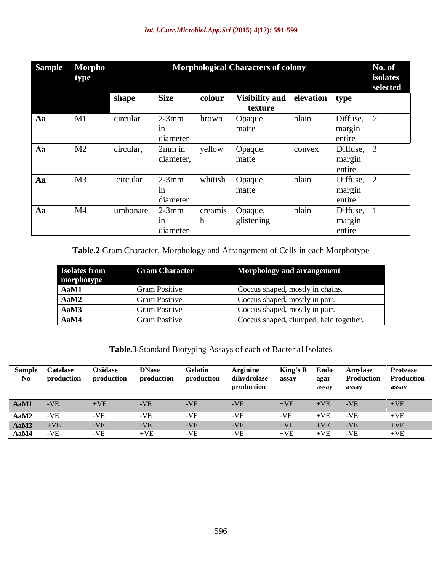| <b>Sample</b> | Morpho<br>type | <b>Morphological Characters of colony</b><br>No. of<br>isolates<br>selected |                                      |                             |                                  |           |                              |                |
|---------------|----------------|-----------------------------------------------------------------------------|--------------------------------------|-----------------------------|----------------------------------|-----------|------------------------------|----------------|
|               |                | shape                                                                       | <b>Size</b>                          | colour                      | <b>Visibility and</b><br>texture | elevation | type                         |                |
| Aa            | M1             | circular                                                                    | $2-3mm$<br>in<br>diameter            | brown                       | Opaque,<br>matte                 | plain     | Diffuse,<br>margin<br>entire | $\overline{2}$ |
| Aa            | M <sub>2</sub> | circular,                                                                   | $2mm$ in<br>diameter,                | yellow                      | Opaque,<br>matte                 | convex    | Diffuse,<br>margin<br>entire | 3              |
| Aa            | M <sub>3</sub> | circular                                                                    | $2-3mm$<br>in<br>diameter            | whitish                     | Opaque,<br>matte                 | plain     | Diffuse,<br>margin<br>entire | 2              |
| Aa            | M <sub>4</sub> | umbonate                                                                    | $2-3mm$<br><sub>in</sub><br>diameter | creamis<br>$\boldsymbol{h}$ | Opaque,<br>glistening            | plain     | Diffuse,<br>margin<br>entire | $\mathbf{1}$   |

**Table.2** Gram Character, Morphology and Arrangement of Cells in each Morphotype

| <b>Isolates from</b><br>morphotype | <b>Gram Character</b> | Morphology and arrangement             |
|------------------------------------|-----------------------|----------------------------------------|
| AaM1                               | <b>Gram Positive</b>  | Coccus shaped, mostly in chains.       |
| AaM2                               | <b>Gram Positive</b>  | Coccus shaped, mostly in pair.         |
| AaM3                               | Gram Positive         | Coccus shaped, mostly in pair.         |
| AaM4                               | Gram Positive         | Coccus shaped, clumped, held together. |

**Table.3** Standard Biotyping Assays of each of Bacterial Isolates

| <b>Sample</b><br>N <sub>0</sub> | <b>Catalase</b><br>production | Oxidase<br>production | <b>DNase</b><br>production | <b>Gelatin</b><br>production | <b>Arginine</b><br>dihydrolase<br>production | King's $B$<br>assay | Endo<br>agar<br>assay | Amylase<br><b>Production</b><br>assay | <b>Protease</b><br><b>Production</b><br>assay |
|---------------------------------|-------------------------------|-----------------------|----------------------------|------------------------------|----------------------------------------------|---------------------|-----------------------|---------------------------------------|-----------------------------------------------|
| AaM1                            | $-VE$                         | $+VE$                 | $-VE$                      | -VE                          | -VE                                          | $+VE$               | $+VE$                 | $-VE$                                 | $+VE$                                         |
| AaM2                            | $-VE$                         | -VE                   | -VE                        | -VE                          | -VE                                          | -VE                 | $+VE$                 | -VE                                   | $+VE$                                         |
| AaM3                            | $+VE$                         | $-VE$                 | $-VE$                      | $-VE$                        | $-VE$                                        | $+VE$               | $+VE$                 | $-VE$                                 | $+VE$                                         |
| AaM4                            | $-VE$                         | -VE                   | $+VE$                      | -VE                          | -VE                                          | $+VE$               | $+VE$                 | -VE                                   | $+VE$                                         |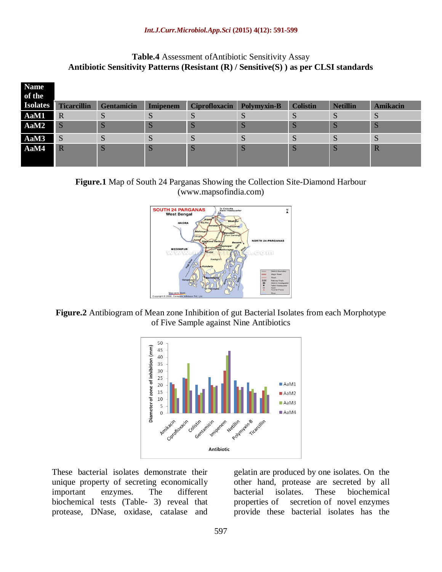#### **Table.4** Assessment ofAntibiotic Sensitivity Assay **Antibiotic Sensitivity Patterns (Resistant (R) / Sensitive(S) ) as per CLSI standards**

| <b>Name</b>     |                    |                   |                 |                      |             |                 |                 |                 |
|-----------------|--------------------|-------------------|-----------------|----------------------|-------------|-----------------|-----------------|-----------------|
| of the          |                    |                   |                 |                      |             |                 |                 |                 |
| <b>Isolates</b> | <b>Ticarcillin</b> | <b>Gentamicin</b> | <b>Imipenem</b> | <b>Ciprofloxacin</b> | Polymyxin-B | <b>Colistin</b> | <b>Netillin</b> | <b>Amikacin</b> |
| AaM1            | $\overline{R}$     | D.                | D               | <b>D</b>             | S           | IJ              | S               | S               |
| AaM2            | l S                | D                 | S               | S                    | D           |                 | S               | <sub>S</sub>    |
| AaM3            | <sub>S</sub>       | C                 | S               | S                    | S           |                 | S               | S               |
| AaM4            | $\overline{R}$     | $\mathbf{C}$      | S               | S                    | N           |                 | S               | $\mathbb{R}$    |

**Figure.1** Map of South 24 Parganas Showing the Collection Site-Diamond Harbour [\(www.mapsofindia.com\)](http://www.mapsofindia.com/)



**Figure.2** Antibiogram of Mean zone Inhibition of gut Bacterial Isolates from each Morphotype of Five Sample against Nine Antibiotics



These bacterial isolates demonstrate their unique property of secreting economically important enzymes. The different biochemical tests (Table- 3) reveal that protease, DNase, oxidase, catalase and

gelatin are produced by one isolates. On the other hand, protease are secreted by all bacterial isolates. These biochemical properties of secretion of novel enzymes provide these bacterial isolates has the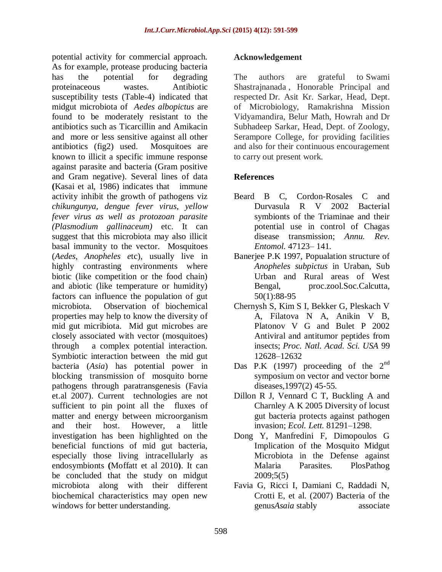potential activity for commercial approach. As for example, protease producing bacteria has the potential for degrading proteinaceous wastes. Antibiotic susceptibility tests (Table-4) indicated that midgut microbiota of *Aedes albopictus* are found to be moderately resistant to the antibiotics such as Ticarcillin and Amikacin and more or less sensitive against all other antibiotics (fig2) used. Mosquitoes are known to illicit a specific immune response against parasite and bacteria (Gram positive and Gram negative). Several lines of data **(**Kasai et al, 1986) indicates that immune activity inhibit the growth of pathogens viz *chikungunya, dengue fever virus, yellow fever virus as well as protozoan parasite (Plasmodium gallinaceum)* etc. It can suggest that this microbiota may also illicit basal immunity to the vector. Mosquitoes (*Aedes*, *Anopheles e*tc), usually live in highly contrasting environments where biotic (like competition or the food chain) and abiotic (like temperature or humidity) factors can influence the population of gut microbiota. Observation of biochemical properties may help to know the diversity of mid gut micribiota. Mid gut microbes are closely associated with vector (mosquitoes) through a complex potential interaction. Symbiotic interaction between the mid gut bacteria (*Asia*) has potential power in blocking transmission of mosquito borne pathogens through paratransgenesis (Favia et.al 2007). Current technologies are not sufficient to pin point all the fluxes of matter and energy between microorganism and their host. However, a little investigation has been highlighted on the beneficial functions of mid gut bacteria, especially those living intracellularly as endosymbionts **(**Moffatt et al 2010**)**. It can be concluded that the study on midgut microbiota along with their different biochemical characteristics may open new windows for better understanding.

### **Acknowledgement**

The authors are grateful to Swami Shastrajnanada , Honorable Principal and respected Dr. Asit Kr. Sarkar, Head, Dept. of Microbiology, Ramakrishna Mission Vidyamandira, Belur Math, Howrah and Dr Subhadeep Sarkar, Head, Dept. of Zoology, Serampore College, for providing facilities and also for their continuous encouragement to carry out present work.

### **References**

- Beard B C, Cordon-Rosales C and Durvasula R V 2002 Bacterial symbionts of the Triaminae and their potential use in control of Chagas disease transmission; *Annu. Rev. Entomol.* 47123– 141.
- Banerjee P.K 1997, Popualation structure of *Anopheles subpictus* in Uraban, Sub Urban and Rural areas of West Bengal, proc.zool.Soc.Calcutta, 50(1):88-95
- Chernysh S, Kim S I, Bekker G, Pleskach V A, Filatova N A, Anikin V B, Platonov V G and Bulet P 2002 Antiviral and antitumor peptides from insects; *Proc. Natl. Acad. Sci. USA* 99 12628–12632
- Das P.K (1997) proceeding of the  $2<sup>nd</sup>$ symposium on vector and vector borne diseases,1997(2) 45-55.
- Dillon R J, Vennard C T, Buckling A and Charnley A K 2005 Diversity of locust gut bacteria protects against pathogen invasion; *Ecol. Lett.* 81291–1298.
- Dong Y, Manfredini F, Dimopoulos G Implication of the Mosquito Midgut Microbiota in the Defense against Malaria Parasites. PlosPathog 2009;5(5)
- Favia G, Ricci I, Damiani C, Raddadi N, Crotti E, et al. (2007) Bacteria of the genus*Asaia* stably associate